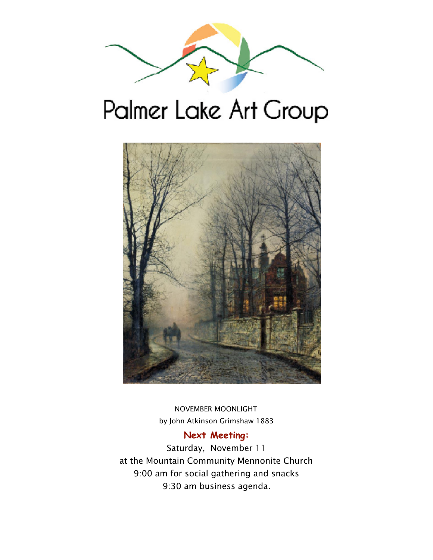

# Palmer Lake Art Group



NOVEMBER MOONLIGHT by John Atkinson Grimshaw 1883

## **Next Meeting:**

Saturday, November 11 at the Mountain Community Mennonite Church 9:00 am for social gathering and snacks 9:30 am business agenda.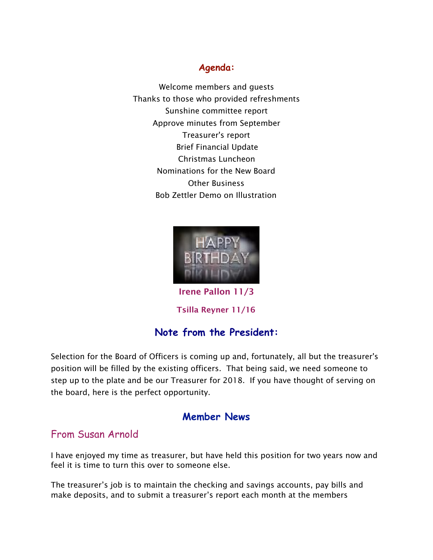## **Agenda:**

Welcome members and guests Thanks to those who provided refreshments Sunshine committee report Approve minutes from September Treasurer's report Brief Financial Update Christmas Luncheon Nominations for the New Board Other Business Bob Zettler Demo on Illustration



Irene Pallon 11/3 Tsilla Reyner 11/16

# **Note from the President:**

Selection for the Board of Officers is coming up and, fortunately, all but the treasurer's position will be filled by the existing officers. That being said, we need someone to step up to the plate and be our Treasurer for 2018. If you have thought of serving on the board, here is the perfect opportunity.

## **Member News**

## From Susan Arnold

I have enjoyed my time as treasurer, but have held this position for two years now and feel it is time to turn this over to someone else.

The treasurer's job is to maintain the checking and savings accounts, pay bills and make deposits, and to submit a treasurer's report each month at the members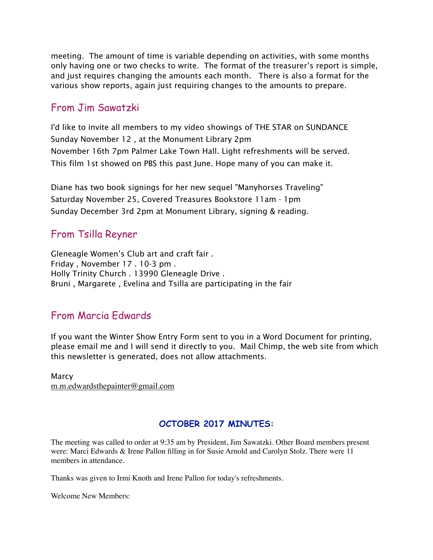meeting. The amount of time is variable depending on activities, with some months only having one or two checks to write. The format of the treasurer's report is simple, and just requires changing the amounts each month. There is also a format for the various show reports, again just requiring changes to the amounts to prepare.

## From Jim Sawatzki

I'd like to invite all members to my video showings of THE STAR on SUNDANCE Sunday November 12 , at the Monument Library 2pm November 16th 7pm Palmer Lake Town Hall. Light refreshments will be served. This film 1st showed on PBS this past June. Hope many of you can make it.

Diane has two book signings for her new sequel "Manyhorses Traveling" Saturday November 25, Covered Treasures Bookstore 11am - 1pm Sunday December 3rd 2pm at Monument Library, signing & reading.

## From Tsilla Reyner

Gleneagle Women's Club art and craft fair . Friday , November 17 . 10-3 pm . Holly Trinity Church . 13990 Gleneagle Drive . Bruni , Margarete , Evelina and Tsilla are participating in the fair

## From Marcia Edwards

If you want the Winter Show Entry Form sent to you in a Word Document for printing, please email me and I will send it directly to you. Mail Chimp, the web site from which this newsletter is generated, does not allow attachments.

Marcy [m.m.edwardsthepainter@gmail.com](mailto:m.m.edwardsthepainter@gmail.com)

## **OCTOBER 2017 MINUTES:**

The meeting was called to order at 9:35 am by President, Jim Sawatzki. Other Board members present were: Marci Edwards & Irene Pallon filling in for Susie Arnold and Carolyn Stolz. There were 11 members in attendance.

Thanks was given to Irmi Knoth and Irene Pallon for today's refreshments.

Welcome New Members: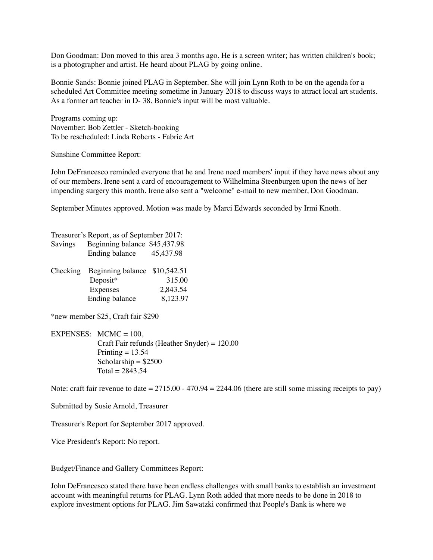Don Goodman: Don moved to this area 3 months ago. He is a screen writer; has written children's book; is a photographer and artist. He heard about PLAG by going online.

Bonnie Sands: Bonnie joined PLAG in September. She will join Lynn Roth to be on the agenda for a scheduled Art Committee meeting sometime in January 2018 to discuss ways to attract local art students. As a former art teacher in D- 38, Bonnie's input will be most valuable.

Programs coming up: November: Bob Zettler - Sketch-booking To be rescheduled: Linda Roberts - Fabric Art

Sunshine Committee Report:

John DeFrancesco reminded everyone that he and Irene need members' input if they have news about any of our members. Irene sent a card of encouragement to Wilhelmina Steenburgen upon the news of her impending surgery this month. Irene also sent a "welcome" e-mail to new member, Don Goodman.

September Minutes approved. Motion was made by Marci Edwards seconded by Irmi Knoth.

| Treasurer's Report, as of September 2017: |                               |           |  |
|-------------------------------------------|-------------------------------|-----------|--|
| Savings                                   | Beginning balance \$45,437.98 |           |  |
|                                           | Ending balance                | 45,437.98 |  |
| Checking                                  | Beginning balance \$10,542.51 |           |  |
|                                           | Deposit*                      | 315.00    |  |
|                                           | Expenses                      | 2,843.54  |  |
|                                           | Ending balance                | 8,123.97  |  |

\*new member \$25, Craft fair \$290

EXPENSES:  $MCMC = 100$ , Craft Fair refunds (Heather Snyder) = 120.00 Printing  $= 13.54$ Scholarship  $=$  \$2500  $Total = 2843.54$ 

Note: craft fair revenue to date  $= 2715.00 - 470.94 = 2244.06$  (there are still some missing receipts to pay)

Submitted by Susie Arnold, Treasurer

Treasurer's Report for September 2017 approved.

Vice President's Report: No report.

Budget/Finance and Gallery Committees Report:

John DeFrancesco stated there have been endless challenges with small banks to establish an investment account with meaningful returns for PLAG. Lynn Roth added that more needs to be done in 2018 to explore investment options for PLAG. Jim Sawatzki confirmed that People's Bank is where we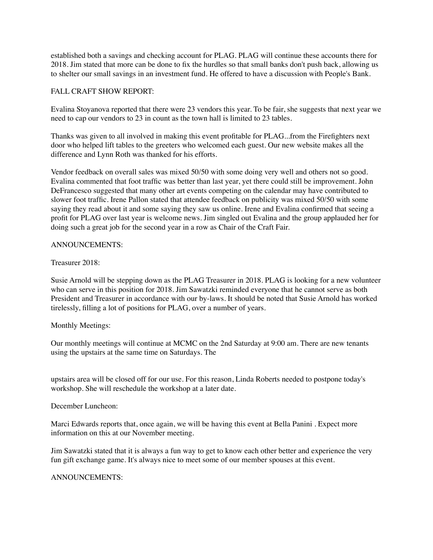established both a savings and checking account for PLAG. PLAG will continue these accounts there for 2018. Jim stated that more can be done to fix the hurdles so that small banks don't push back, allowing us to shelter our small savings in an investment fund. He offered to have a discussion with People's Bank.

#### FALL CRAFT SHOW REPORT:

Evalina Stoyanova reported that there were 23 vendors this year. To be fair, she suggests that next year we need to cap our vendors to 23 in count as the town hall is limited to 23 tables.

Thanks was given to all involved in making this event profitable for PLAG...from the Firefighters next door who helped lift tables to the greeters who welcomed each guest. Our new website makes all the difference and Lynn Roth was thanked for his efforts.

Vendor feedback on overall sales was mixed 50/50 with some doing very well and others not so good. Evalina commented that foot traffic was better than last year, yet there could still be improvement. John DeFrancesco suggested that many other art events competing on the calendar may have contributed to slower foot traffic. Irene Pallon stated that attendee feedback on publicity was mixed 50/50 with some saying they read about it and some saying they saw us online. Irene and Evalina confirmed that seeing a profit for PLAG over last year is welcome news. Jim singled out Evalina and the group applauded her for doing such a great job for the second year in a row as Chair of the Craft Fair.

#### ANNOUNCEMENTS:

#### Treasurer 2018:

Susie Arnold will be stepping down as the PLAG Treasurer in 2018. PLAG is looking for a new volunteer who can serve in this position for 2018. Jim Sawatzki reminded everyone that he cannot serve as both President and Treasurer in accordance with our by-laws. It should be noted that Susie Arnold has worked tirelessly, filling a lot of positions for PLAG, over a number of years.

#### Monthly Meetings:

Our monthly meetings will continue at MCMC on the 2nd Saturday at 9:00 am. There are new tenants using the upstairs at the same time on Saturdays. The

upstairs area will be closed off for our use. For this reason, Linda Roberts needed to postpone today's workshop. She will reschedule the workshop at a later date.

#### December Luncheon:

Marci Edwards reports that, once again, we will be having this event at Bella Panini . Expect more information on this at our November meeting.

Jim Sawatzki stated that it is always a fun way to get to know each other better and experience the very fun gift exchange game. It's always nice to meet some of our member spouses at this event.

#### ANNOUNCEMENTS: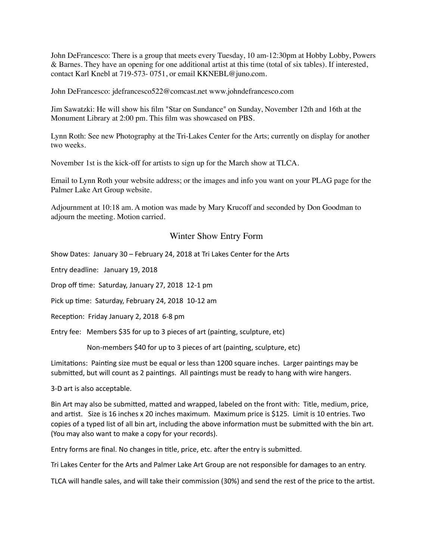John DeFrancesco: There is a group that meets every Tuesday, 10 am-12:30pm at Hobby Lobby, Powers & Barnes. They have an opening for one additional artist at this time (total of six tables). If interested, contact Karl Knebl at 719-573- 0751, or email KKNEBL@juno.com.

John DeFrancesco: jdefrancesco522@comcast.net www.johndefrancesco.com

Jim Sawatzki: He will show his film "Star on Sundance" on Sunday, November 12th and 16th at the Monument Library at 2:00 pm. This film was showcased on PBS.

Lynn Roth: See new Photography at the Tri-Lakes Center for the Arts; currently on display for another two weeks.

November 1st is the kick-off for artists to sign up for the March show at TLCA.

Email to Lynn Roth your website address; or the images and info you want on your PLAG page for the Palmer Lake Art Group website.

Adjournment at 10:18 am. A motion was made by Mary Krucoff and seconded by Don Goodman to adjourn the meeting. Motion carried.

#### Winter Show Entry Form

Show Dates: January  $30$  – February 24, 2018 at Tri Lakes Center for the Arts

Entry deadline: January 19, 2018

Drop off time: Saturday, January 27, 2018 12-1 pm

Pick up time: Saturday, February 24, 2018 10-12 am

Reception: Friday January 2, 2018 6-8 pm

Entry fee: Members \$35 for up to 3 pieces of art (painting, sculpture, etc)

Non-members \$40 for up to 3 pieces of art (painting, sculpture, etc)

Limitations: Painting size must be equal or less than 1200 square inches. Larger paintings may be submitted, but will count as 2 paintings. All paintings must be ready to hang with wire hangers.

3-D art is also acceptable.

Bin Art may also be submitted, matted and wrapped, labeled on the front with: Title, medium, price, and artist. Size is 16 inches x 20 inches maximum. Maximum price is \$125. Limit is 10 entries. Two copies of a typed list of all bin art, including the above information must be submitted with the bin art. (You may also want to make a copy for your records).

Entry forms are final. No changes in title, price, etc. after the entry is submitted.

Tri Lakes Center for the Arts and Palmer Lake Art Group are not responsible for damages to an entry.

TLCA will handle sales, and will take their commission (30%) and send the rest of the price to the artist.